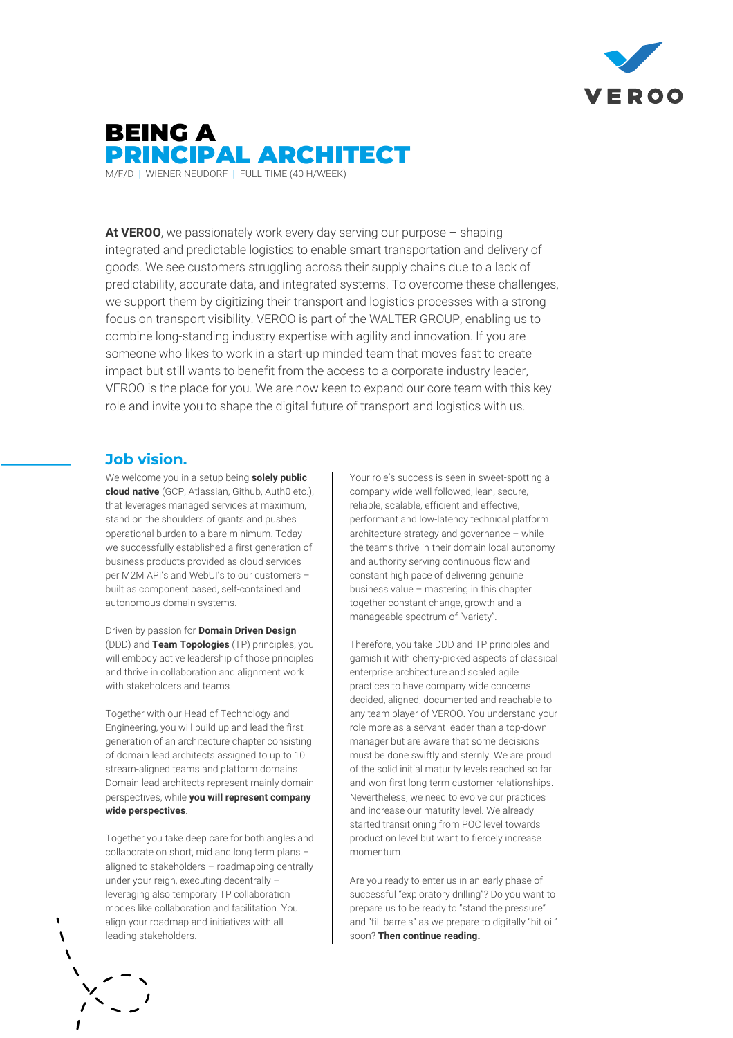

# BEING A PRINCIPAL ARCHITECT M/F/D | WIENER NEUDORF | FULL TIME (40 H/WEEK)

**At VEROO**, we passionately work every day serving our purpose – shaping integrated and predictable logistics to enable smart transportation and delivery of goods. We see customers struggling across their supply chains due to a lack of predictability, accurate data, and integrated systems. To overcome these challenges, we support them by digitizing their transport and logistics processes with a strong focus on transport visibility. VEROO is part of the WALTER GROUP, enabling us to combine long-standing industry expertise with agility and innovation. If you are someone who likes to work in a start-up minded team that moves fast to create impact but still wants to benefit from the access to a corporate industry leader, VEROO is the place for you. We are now keen to expand our core team with this key role and invite you to shape the digital future of transport and logistics with us.

### **Job vision.**

We welcome you in a setup being **solely public cloud native** (GCP, Atlassian, Github, Auth0 etc.), that leverages managed services at maximum, stand on the shoulders of giants and pushes operational burden to a bare minimum. Today we successfully established a first generation of business products provided as cloud services per M2M API's and WebUI's to our customers – built as component based, self-contained and autonomous domain systems.

Driven by passion for **Domain Driven Design** (DDD) and **Team Topologies** (TP) principles, you will embody active leadership of those principles and thrive in collaboration and alignment work with stakeholders and teams.

Together with our Head of Technology and Engineering, you will build up and lead the first generation of an architecture chapter consisting of domain lead architects assigned to up to 10 stream-aligned teams and platform domains. Domain lead architects represent mainly domain perspectives, while **you will represent company wide perspectives**.

Together you take deep care for both angles and collaborate on short, mid and long term plans – aligned to stakeholders – roadmapping centrally under your reign, executing decentrally – leveraging also temporary TP collaboration modes like collaboration and facilitation. You align your roadmap and initiatives with all leading stakeholders.

Your role's success is seen in sweet-spotting a company wide well followed, lean, secure, reliable, scalable, efficient and effective, performant and low-latency technical platform architecture strategy and governance – while the teams thrive in their domain local autonomy and authority serving continuous flow and constant high pace of delivering genuine business value – mastering in this chapter together constant change, growth and a manageable spectrum of "variety".

Therefore, you take DDD and TP principles and garnish it with cherry-picked aspects of classical enterprise architecture and scaled agile practices to have company wide concerns decided, aligned, documented and reachable to any team player of VEROO. You understand your role more as a servant leader than a top-down manager but are aware that some decisions must be done swiftly and sternly. We are proud of the solid initial maturity levels reached so far and won first long term customer relationships. Nevertheless, we need to evolve our practices and increase our maturity level. We already started transitioning from POC level towards production level but want to fiercely increase momentum.

Are you ready to enter us in an early phase of successful "exploratory drilling"? Do you want to prepare us to be ready to "stand the pressure" and "fill barrels" as we prepare to digitally "hit oil" soon? **Then continue reading.**